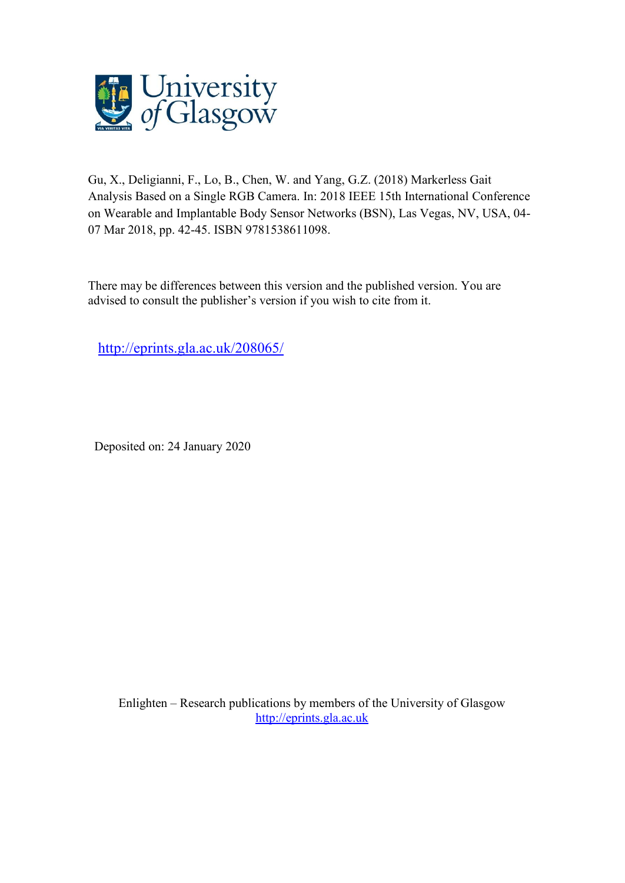

Gu, X., Deligianni, F., Lo, B., Chen, W. and Yang, G.Z. (2018) Markerless Gait Analysis Based on a Single RGB Camera. In: 2018 IEEE 15th International Conference on Wearable and Implantable Body Sensor Networks (BSN), Las Vegas, NV, USA, 04- 07 Mar 2018, pp. 42-45. ISBN 9781538611098.

There may be differences between this version and the published version. You are advised to consult the publisher's version if you wish to cite from it.

<http://eprints.gla.ac.uk/208065/>

Deposited on: 24 January 2020

Enlighten – Research publications by members of the University of Glasgow [http://eprints.gla.ac.uk](http://eprints.gla.ac.uk/)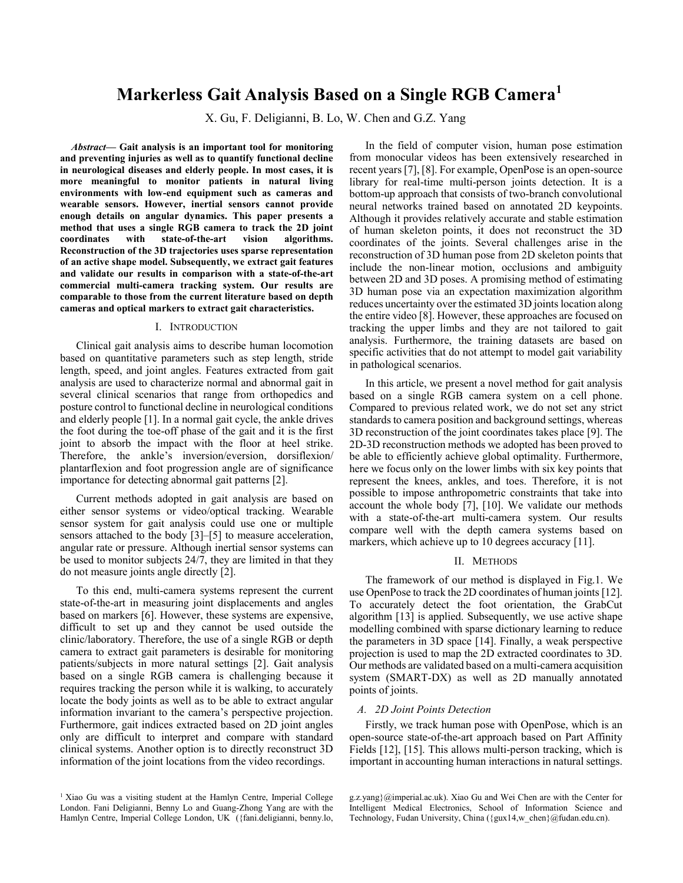# **Markerless Gait Analysis Based on a Single RGB Camera<sup>1</sup>**

X. Gu, F. Deligianni, B. Lo, W. Chen and G.Z. Yang

*Abstract***— Gait analysis is an important tool for monitoring and preventing injuries as well as to quantify functional decline in neurological diseases and elderly people. In most cases, it is more meaningful to monitor patients in natural living environments with low-end equipment such as cameras and wearable sensors. However, inertial sensors cannot provide enough details on angular dynamics. This paper presents a method that uses a single RGB camera to track the 2D joint coordinates with state-of-the-art vision algorithms. Reconstruction of the 3D trajectories uses sparse representation of an active shape model. Subsequently, we extract gait features and validate our results in comparison with a state-of-the-art commercial multi-camera tracking system. Our results are comparable to those from the current literature based on depth cameras and optical markers to extract gait characteristics.**

# I. INTRODUCTION

Clinical gait analysis aims to describe human locomotion based on quantitative parameters such as step length, stride length, speed, and joint angles. Features extracted from gait analysis are used to characterize normal and abnormal gait in several clinical scenarios that range from orthopedics and posture control to functional decline in neurological conditions and elderly people [1]. In a normal gait cycle, the ankle drives the foot during the toe-off phase of the gait and it is the first joint to absorb the impact with the floor at heel strike. Therefore, the ankle's inversion/eversion, dorsiflexion/ plantarflexion and foot progression angle are of significance importance for detecting abnormal gait patterns [2].

Current methods adopted in gait analysis are based on either sensor systems or video/optical tracking. Wearable sensor system for gait analysis could use one or multiple sensors attached to the body [3]–[5] to measure acceleration, angular rate or pressure. Although inertial sensor systems can be used to monitor subjects 24/7, they are limited in that they do not measure joints angle directly [2].

To this end, multi-camera systems represent the current state-of-the-art in measuring joint displacements and angles based on markers [6]. However, these systems are expensive, difficult to set up and they cannot be used outside the clinic/laboratory. Therefore, the use of a single RGB or depth camera to extract gait parameters is desirable for monitoring patients/subjects in more natural settings [2]. Gait analysis based on a single RGB camera is challenging because it requires tracking the person while it is walking, to accurately locate the body joints as well as to be able to extract angular information invariant to the camera's perspective projection. Furthermore, gait indices extracted based on 2D joint angles only are difficult to interpret and compare with standard clinical systems. Another option is to directly reconstruct 3D information of the joint locations from the video recordings.

<sup>1</sup> Xiao Gu was a visiting student at the Hamlyn Centre, Imperial College London. Fani Deligianni, Benny Lo and Guang-Zhong Yang are with the Hamlyn Centre, Imperial College London, UK ({fani.deligianni, benny.lo,

In the field of computer vision, human pose estimation from monocular videos has been extensively researched in recent years[7], [8]. For example, OpenPose is an open-source library for real-time multi-person joints detection. It is a bottom-up approach that consists of two-branch convolutional neural networks trained based on annotated 2D keypoints. Although it provides relatively accurate and stable estimation of human skeleton points, it does not reconstruct the 3D coordinates of the joints. Several challenges arise in the reconstruction of 3D human pose from 2D skeleton points that include the non-linear motion, occlusions and ambiguity between 2D and 3D poses. A promising method of estimating 3D human pose via an expectation maximization algorithm reduces uncertainty over the estimated 3D joints location along the entire video [8]. However, these approaches are focused on tracking the upper limbs and they are not tailored to gait analysis. Furthermore, the training datasets are based on specific activities that do not attempt to model gait variability in pathological scenarios.

In this article, we present a novel method for gait analysis based on a single RGB camera system on a cell phone. Compared to previous related work, we do not set any strict standards to camera position and background settings, whereas 3D reconstruction of the joint coordinates takes place [9]. The 2D-3D reconstruction methods we adopted has been proved to be able to efficiently achieve global optimality. Furthermore, here we focus only on the lower limbs with six key points that represent the knees, ankles, and toes. Therefore, it is not possible to impose anthropometric constraints that take into account the whole body [7], [10]. We validate our methods with a state-of-the-art multi-camera system. Our results compare well with the depth camera systems based on markers, which achieve up to 10 degrees accuracy [11].

### II. METHODS

The framework of our method is displayed in [Fig.1.](#page-2-0) We use OpenPose to track the 2D coordinates of human joints [12]. To accurately detect the foot orientation, the GrabCut algorithm [13] is applied. Subsequently, we use active shape modelling combined with sparse dictionary learning to reduce the parameters in 3D space [14]. Finally, a weak perspective projection is used to map the 2D extracted coordinates to 3D. Our methods are validated based on a multi-camera acquisition system (SMART-DX) as well as 2D manually annotated points of joints.

### *A. 2D Joint Points Detection*

Firstly, we track human pose with OpenPose, which is an open-source state-of-the-art approach based on Part Affinity Fields [12], [15]. This allows multi-person tracking, which is important in accounting human interactions in natural settings.

g.z.yang}@imperial.ac.uk). Xiao Gu and Wei Chen are with the Center for Intelligent Medical Electronics, School of Information Science and Technology, Fudan University, China ({gux14,w\_chen}@fudan.edu.cn).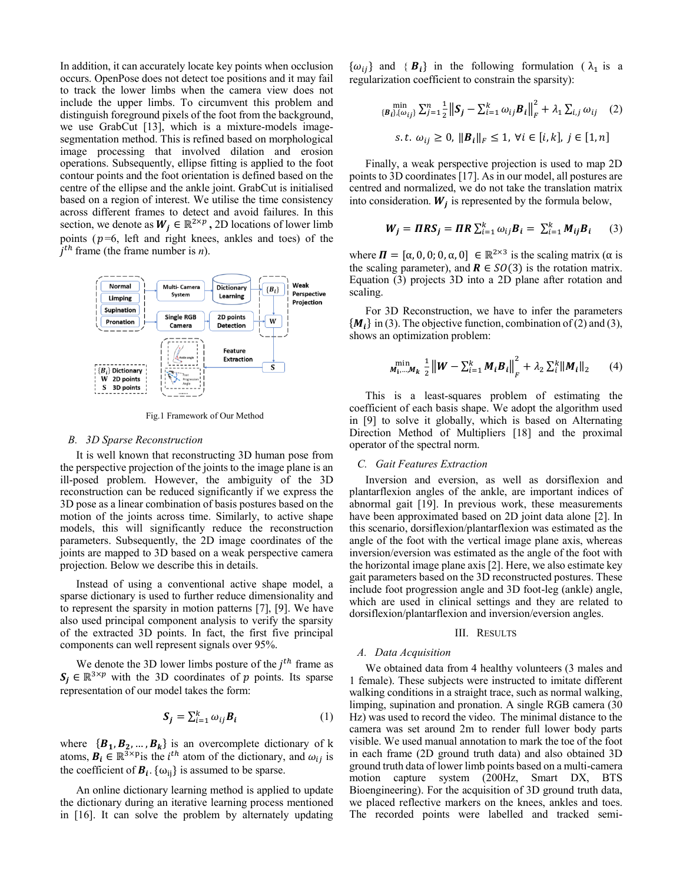In addition, it can accurately locate key points when occlusion occurs. OpenPose does not detect toe positions and it may fail to track the lower limbs when the camera view does not include the upper limbs. To circumvent this problem and distinguish foreground pixels of the foot from the background, we use GrabCut [13], which is a mixture-models imagesegmentation method. This is refined based on morphological image processing that involved dilation and erosion operations. Subsequently, ellipse fitting is applied to the foot contour points and the foot orientation is defined based on the centre of the ellipse and the ankle joint. GrabCut is initialised based on a region of interest. We utilise the time consistency across different frames to detect and avoid failures. In this section, we denote as  $W_j \in \mathbb{R}^{2 \times p}$ , 2D locations of lower limb points ( $p=6$ , left and right knees, ankles and toes) of the  $j<sup>th</sup>$  frame (the frame number is *n*).



Fig.1 Framework of Our Method

### <span id="page-2-0"></span>*B. 3D Sparse Reconstruction*

It is well known that reconstructing 3D human pose from the perspective projection of the joints to the image plane is an ill-posed problem. However, the ambiguity of the 3D reconstruction can be reduced significantly if we express the 3D pose as a linear combination of basis postures based on the motion of the joints across time. Similarly, to active shape models, this will significantly reduce the reconstruction parameters. Subsequently, the 2D image coordinates of the joints are mapped to 3D based on a weak perspective camera projection. Below we describe this in details.

Instead of using a conventional active shape model, a sparse dictionary is used to further reduce dimensionality and to represent the sparsity in motion patterns [7], [9]. We have also used principal component analysis to verify the sparsity of the extracted 3D points. In fact, the first five principal components can well represent signals over 95%.

We denote the 3D lower limbs posture of the  $j<sup>th</sup>$  frame as  $S_j \in \mathbb{R}^{3 \times p}$  with the 3D coordinates of p points. Its sparse representation of our model takes the form:

$$
\mathbf{S}_{j} = \sum_{i=1}^{k} \omega_{ij} \mathbf{B}_{i} \tag{1}
$$

where  $\{B_1, B_2, ..., B_k\}$  is an overcomplete dictionary of k atoms,  $B_i \in \mathbb{R}^{3 \times p}$  is the *i*<sup>th</sup> atom of the dictionary, and  $\omega_{ij}$  is the coefficient of  $B_i$ . { $\omega_{ij}$ } is assumed to be sparse.

An online dictionary learning method is applied to update the dictionary during an iterative learning process mentioned in [16]. It can solve the problem by alternately updating

 $\{\omega_{ij}\}\$ and  $\{B_i\}\$ in the following formulation  $(\lambda_1\)$  is a regularization coefficient to constrain the sparsity):

$$
\min_{\{\mathbf{B}_{l}\},\{\omega_{ij}\}} \sum_{j=1}^{n} \frac{1}{2} ||\mathbf{S}_{j} - \sum_{i=1}^{k} \omega_{ij} \mathbf{B}_{i}||_{F}^{2} + \lambda_{1} \sum_{i,j} \omega_{ij} \quad (2)
$$
  
s.t.  $\omega_{ij} \ge 0$ ,  $||\mathbf{B}_{i}||_{F} \le 1$ ,  $\forall i \in [i,k]$ ,  $j \in [1,n]$ 

Finally, a weak perspective projection is used to map 2D points to 3D coordinates [17]. As in our model, all postures are centred and normalized, we do not take the translation matrix into consideration.  $W_j$  is represented by the formula below,

$$
W_j = \Pi RS_j = \Pi R \sum_{i=1}^k \omega_{ij} B_i = \sum_{i=1}^k M_{ij} B_i \qquad (3)
$$

where  $\mathbf{\Pi} = [\alpha, 0, 0; 0, \alpha, 0] \in \mathbb{R}^{2 \times 3}$  is the scaling matrix ( $\alpha$  is the scaling parameter), and  $\mathbf{R} \in SO(3)$  is the rotation matrix. Equation (3) projects 3D into a 2D plane after rotation and scaling.

For 3D Reconstruction, we have to infer the parameters  ${M<sub>i</sub>}$  in (3). The objective function, combination of (2) and (3), shows an optimization problem:

$$
\min_{M_1,\dots,M_k} \frac{1}{2} ||W - \sum_{i=1}^k M_i B_i||_F^2 + \lambda_2 \sum_{i=1}^k ||M_i||_2 \qquad (4)
$$

This is a least-squares problem of estimating the coefficient of each basis shape. We adopt the algorithm used in [9] to solve it globally, which is based on Alternating Direction Method of Multipliers [18] and the proximal operator of the spectral norm.

### *C. Gait Features Extraction*

Inversion and eversion, as well as dorsiflexion and plantarflexion angles of the ankle, are important indices of abnormal gait [19]. In previous work, these measurements have been approximated based on 2D joint data alone [2]. In this scenario, dorsiflexion/plantarflexion was estimated as the angle of the foot with the vertical image plane axis, whereas inversion/eversion was estimated as the angle of the foot with the horizontal image plane axis [2]. Here, we also estimate key gait parameters based on the 3D reconstructed postures. These include foot progression angle and 3D foot-leg (ankle) angle, which are used in clinical settings and they are related to dorsiflexion/plantarflexion and inversion/eversion angles.

# III. RESULTS

# *A. Data Acquisition*

We obtained data from 4 healthy volunteers (3 males and 1 female). These subjects were instructed to imitate different walking conditions in a straight trace, such as normal walking, limping, supination and pronation. A single RGB camera (30 Hz) was used to record the video. The minimal distance to the camera was set around 2m to render full lower body parts visible. We used manual annotation to mark the toe of the foot in each frame (2D ground truth data) and also obtained 3D ground truth data of lower limb points based on a multi-camera motion capture system (200Hz, Smart DX, BTS Bioengineering). For the acquisition of 3D ground truth data, we placed reflective markers on the knees, ankles and toes. The recorded points were labelled and tracked semi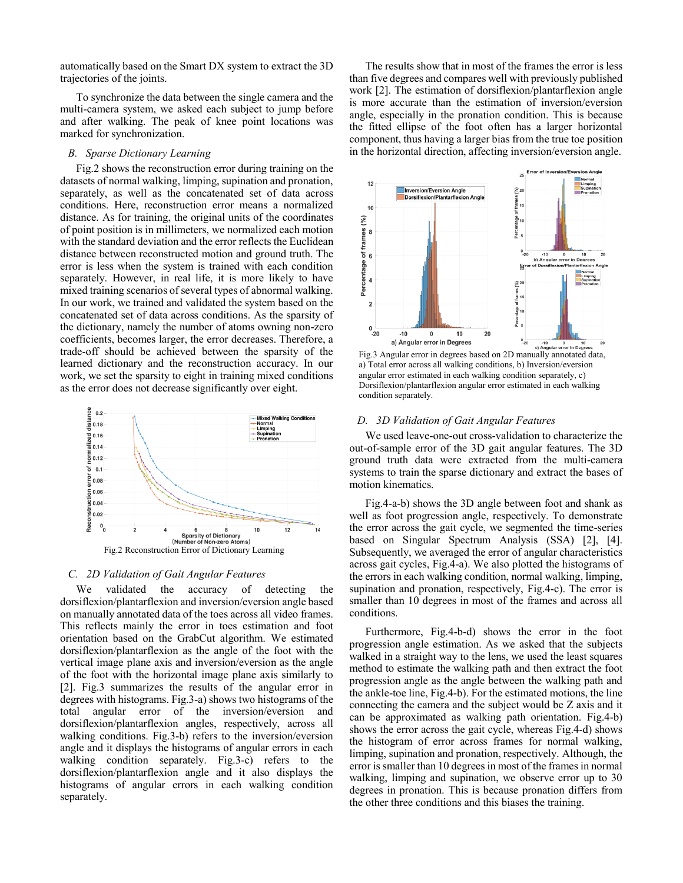automatically based on the Smart DX system to extract the 3D trajectories of the joints.

To synchronize the data between the single camera and the multi-camera system, we asked each subject to jump before and after walking. The peak of knee point locations was marked for synchronization.

# *B. Sparse Dictionary Learning*

[Fig.2](#page-3-0) shows the reconstruction error during training on the datasets of normal walking, limping, supination and pronation, separately, as well as the concatenated set of data across conditions. Here, reconstruction error means a normalized distance. As for training, the original units of the coordinates of point position is in millimeters, we normalized each motion with the standard deviation and the error reflects the Euclidean distance between reconstructed motion and ground truth. The error is less when the system is trained with each condition separately. However, in real life, it is more likely to have mixed training scenarios of several types of abnormal walking. In our work, we trained and validated the system based on the concatenated set of data across conditions. As the sparsity of the dictionary, namely the number of atoms owning non-zero coefficients, becomes larger, the error decreases. Therefore, a trade-off should be achieved between the sparsity of the learned dictionary and the reconstruction accuracy. In our work, we set the sparsity to eight in training mixed conditions as the error does not decrease significantly over eight.



### <span id="page-3-0"></span>*C. 2D Validation of Gait Angular Features*

We validated the accuracy of detecting the dorsiflexion/plantarflexion and inversion/eversion angle based on manually annotated data of the toes across all video frames. This reflects mainly the error in toes estimation and foot orientation based on the GrabCut algorithm. We estimated dorsiflexion/plantarflexion as the angle of the foot with the vertical image plane axis and inversion/eversion as the angle of the foot with the horizontal image plane axis similarly to [2]. [Fig.3](#page-3-1) summarizes the results of the angular error in degrees with histograms[. Fig.3-](#page-3-1)a) shows two histograms of the total angular error of the inversion/eversion and dorsiflexion/plantarflexion angles, respectively, across all walking conditions. [Fig.3-](#page-3-1)b) refers to the inversion/eversion angle and it displays the histograms of angular errors in each walking condition separately. [Fig.3-](#page-3-1)c) refers to the dorsiflexion/plantarflexion angle and it also displays the histograms of angular errors in each walking condition separately.

The results show that in most of the frames the error is less than five degrees and compares well with previously published work [2]. The estimation of dorsiflexion/plantarflexion angle is more accurate than the estimation of inversion/eversion angle, especially in the pronation condition. This is because the fitted ellipse of the foot often has a larger horizontal component, thus having a larger bias from the true toe position in the horizontal direction, affecting inversion/eversion angle.



<span id="page-3-1"></span>Fig.3 Angular error in degrees based on 2D manually annotated data, a) Total error across all walking conditions, b) Inversion/eversion angular error estimated in each walking condition separately, c) Dorsiflexion/plantarflexion angular error estimated in each walking condition separately.

### *D. 3D Validation of Gait Angular Features*

We used leave-one-out cross-validation to characterize the out-of-sample error of the 3D gait angular features. The 3D ground truth data were extracted from the multi-camera systems to train the sparse dictionary and extract the bases of motion kinematics.

[Fig.4-](#page-4-0)a-b) shows the 3D angle between foot and shank as well as foot progression angle, respectively. To demonstrate the error across the gait cycle, we segmented the time-series based on Singular Spectrum Analysis (SSA) [2], [4]. Subsequently, we averaged the error of angular characteristics across gait cycles[, Fig.4-](#page-4-0)a). We also plotted the histograms of the errors in each walking condition, normal walking, limping, supination and pronation, respectively, [Fig.4-](#page-4-0)c). The error is smaller than 10 degrees in most of the frames and across all conditions.

Furthermore, [Fig.4-](#page-4-0)b-d) shows the error in the foot progression angle estimation. As we asked that the subjects walked in a straight way to the lens, we used the least squares method to estimate the walking path and then extract the foot progression angle as the angle between the walking path and the ankle-toe line, [Fig.4-](#page-4-0)b). For the estimated motions, the line connecting the camera and the subject would be Z axis and it can be approximated as walking path orientation. [Fig.4-](#page-4-0)b) shows the error across the gait cycle, whereas [Fig.4-](#page-4-0)d) shows the histogram of error across frames for normal walking, limping, supination and pronation, respectively. Although, the error is smaller than 10 degrees in most of the frames in normal walking, limping and supination, we observe error up to 30 degrees in pronation. This is because pronation differs from the other three conditions and this biases the training.